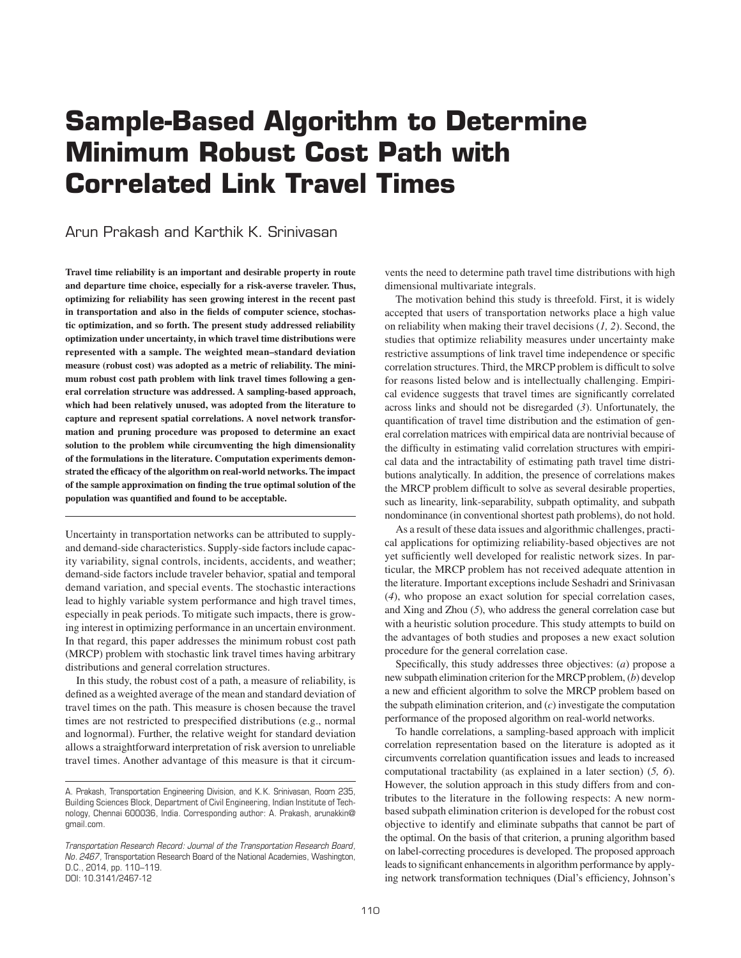# **Sample-Based Algorithm to Determine Minimum Robust Cost Path with Correlated Link Travel Times**

# Arun Prakash and Karthik K. Srinivasan

**Travel time reliability is an important and desirable property in route and departure time choice, especially for a risk-averse traveler. Thus, optimizing for reliability has seen growing interest in the recent past in transportation and also in the fields of computer science, stochastic optimization, and so forth. The present study addressed reliability optimization under uncertainty, in which travel time distributions were represented with a sample. The weighted mean–standard deviation measure (robust cost) was adopted as a metric of reliability. The minimum robust cost path problem with link travel times following a general correlation structure was addressed. A sampling-based approach, which had been relatively unused, was adopted from the literature to capture and represent spatial correlations. A novel network transformation and pruning procedure was proposed to determine an exact solution to the problem while circumventing the high dimensionality of the formulations in the literature. Computation experiments demonstrated the efficacy of the algorithm on real-world networks. The impact of the sample approximation on finding the true optimal solution of the population was quantified and found to be acceptable.**

Uncertainty in transportation networks can be attributed to supplyand demand-side characteristics. Supply-side factors include capacity variability, signal controls, incidents, accidents, and weather; demand-side factors include traveler behavior, spatial and temporal demand variation, and special events. The stochastic interactions lead to highly variable system performance and high travel times, especially in peak periods. To mitigate such impacts, there is growing interest in optimizing performance in an uncertain environment. In that regard, this paper addresses the minimum robust cost path (MRCP) problem with stochastic link travel times having arbitrary distributions and general correlation structures.

In this study, the robust cost of a path, a measure of reliability, is defined as a weighted average of the mean and standard deviation of travel times on the path. This measure is chosen because the travel times are not restricted to prespecified distributions (e.g., normal and lognormal). Further, the relative weight for standard deviation allows a straightforward interpretation of risk aversion to unreliable travel times. Another advantage of this measure is that it circumvents the need to determine path travel time distributions with high dimensional multivariate integrals.

The motivation behind this study is threefold. First, it is widely accepted that users of transportation networks place a high value on reliability when making their travel decisions (*1, 2*). Second, the studies that optimize reliability measures under uncertainty make restrictive assumptions of link travel time independence or specific correlation structures. Third, the MRCP problem is difficult to solve for reasons listed below and is intellectually challenging. Empirical evidence suggests that travel times are significantly correlated across links and should not be disregarded (*3*). Unfortunately, the quantification of travel time distribution and the estimation of general correlation matrices with empirical data are nontrivial because of the difficulty in estimating valid correlation structures with empirical data and the intractability of estimating path travel time distributions analytically. In addition, the presence of correlations makes the MRCP problem difficult to solve as several desirable properties, such as linearity, link-separability, subpath optimality, and subpath nondominance (in conventional shortest path problems), do not hold.

As a result of these data issues and algorithmic challenges, practical applications for optimizing reliability-based objectives are not yet sufficiently well developed for realistic network sizes. In particular, the MRCP problem has not received adequate attention in the literature. Important exceptions include Seshadri and Srinivasan (*4*), who propose an exact solution for special correlation cases, and Xing and Zhou (*5*), who address the general correlation case but with a heuristic solution procedure. This study attempts to build on the advantages of both studies and proposes a new exact solution procedure for the general correlation case.

Specifically, this study addresses three objectives: (*a*) propose a new subpath elimination criterion for the MRCP problem, (*b*) develop a new and efficient algorithm to solve the MRCP problem based on the subpath elimination criterion, and (*c*) investigate the computation performance of the proposed algorithm on real-world networks.

To handle correlations, a sampling-based approach with implicit correlation representation based on the literature is adopted as it circumvents correlation quantification issues and leads to increased computational tractability (as explained in a later section) (*5, 6*). However, the solution approach in this study differs from and contributes to the literature in the following respects: A new normbased subpath elimination criterion is developed for the robust cost objective to identify and eliminate subpaths that cannot be part of the optimal. On the basis of that criterion, a pruning algorithm based on label-correcting procedures is developed. The proposed approach leads to significant enhancements in algorithm performance by applying network transformation techniques (Dial's efficiency, Johnson's

A. Prakash, Transportation Engineering Division, and K. K. Srinivasan, Room 235, Building Sciences Block, Department of Civil Engineering, Indian Institute of Technology, Chennai 600036, India. Corresponding author: A. Prakash, arunakkin@ gmail.com.

*Transportation Research Record: Journal of the Transportation Research Board, No. 2467,* Transportation Research Board of the National Academies, Washington, D.C., 2014, pp. 110–119. DOI: 10.3141/2467-12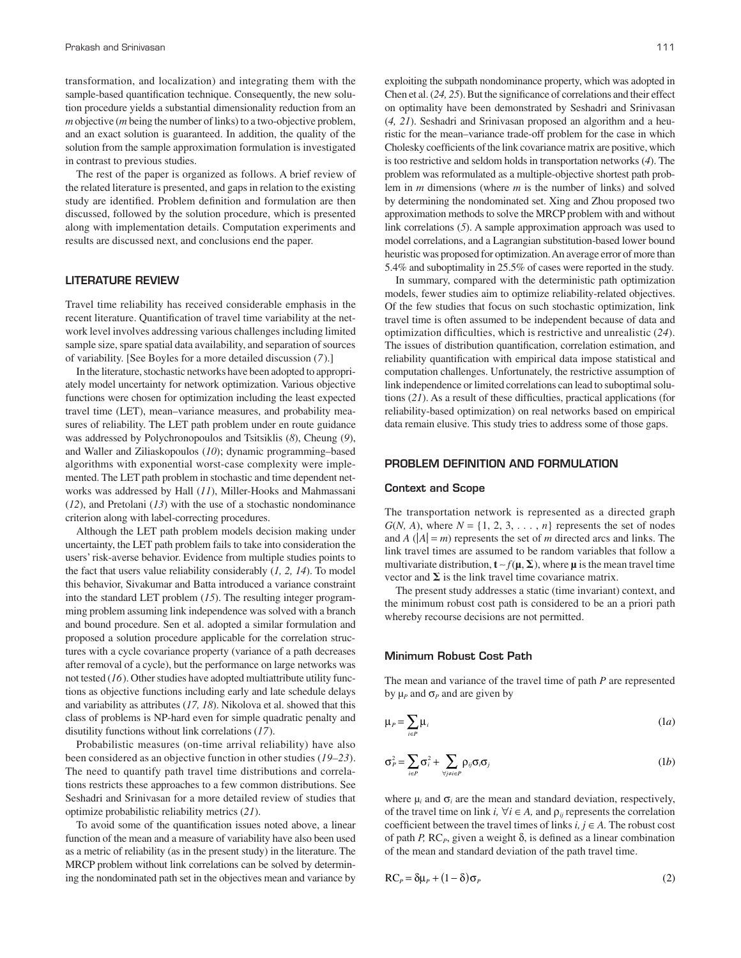transformation, and localization) and integrating them with the sample-based quantification technique. Consequently, the new solution procedure yields a substantial dimensionality reduction from an *m* objective (*m* being the number of links) to a two-objective problem, and an exact solution is guaranteed. In addition, the quality of the solution from the sample approximation formulation is investigated in contrast to previous studies.

The rest of the paper is organized as follows. A brief review of the related literature is presented, and gaps in relation to the existing study are identified. Problem definition and formulation are then discussed, followed by the solution procedure, which is presented along with implementation details. Computation experiments and results are discussed next, and conclusions end the paper.

# LITERATURE REVIEW

Travel time reliability has received considerable emphasis in the recent literature. Quantification of travel time variability at the network level involves addressing various challenges including limited sample size, spare spatial data availability, and separation of sources of variability. [See Boyles for a more detailed discussion (*7*).]

In the literature, stochastic networks have been adopted to appropriately model uncertainty for network optimization. Various objective functions were chosen for optimization including the least expected travel time (LET), mean–variance measures, and probability measures of reliability. The LET path problem under en route guidance was addressed by Polychronopoulos and Tsitsiklis (*8*), Cheung (*9*), and Waller and Ziliaskopoulos (*10*); dynamic programming–based algorithms with exponential worst-case complexity were implemented. The LET path problem in stochastic and time dependent networks was addressed by Hall (*11*), Miller-Hooks and Mahmassani (*12*), and Pretolani (*13*) with the use of a stochastic nondominance criterion along with label-correcting procedures.

Although the LET path problem models decision making under uncertainty, the LET path problem fails to take into consideration the users' risk-averse behavior. Evidence from multiple studies points to the fact that users value reliability considerably (*1, 2, 14*). To model this behavior, Sivakumar and Batta introduced a variance constraint into the standard LET problem (*15*). The resulting integer programming problem assuming link independence was solved with a branch and bound procedure. Sen et al. adopted a similar formulation and proposed a solution procedure applicable for the correlation structures with a cycle covariance property (variance of a path decreases after removal of a cycle), but the performance on large networks was not tested (*16*). Other studies have adopted multiattribute utility functions as objective functions including early and late schedule delays and variability as attributes (*17, 18*). Nikolova et al. showed that this class of problems is NP-hard even for simple quadratic penalty and disutility functions without link correlations (*17*).

Probabilistic measures (on-time arrival reliability) have also been considered as an objective function in other studies (*19–23*). The need to quantify path travel time distributions and correlations restricts these approaches to a few common distributions. See Seshadri and Srinivasan for a more detailed review of studies that optimize probabilistic reliability metrics (*21*).

To avoid some of the quantification issues noted above, a linear function of the mean and a measure of variability have also been used as a metric of reliability (as in the present study) in the literature. The MRCP problem without link correlations can be solved by determining the nondominated path set in the objectives mean and variance by exploiting the subpath nondominance property, which was adopted in Chen et al. (*24, 25*). But the significance of correlations and their effect on optimality have been demonstrated by Seshadri and Srinivasan (*4, 21*). Seshadri and Srinivasan proposed an algorithm and a heuristic for the mean–variance trade-off problem for the case in which Cholesky coefficients of the link covariance matrix are positive, which is too restrictive and seldom holds in transportation networks (*4*). The problem was reformulated as a multiple-objective shortest path problem in *m* dimensions (where *m* is the number of links) and solved by determining the nondominated set. Xing and Zhou proposed two approximation methods to solve the MRCP problem with and without link correlations (*5*). A sample approximation approach was used to model correlations, and a Lagrangian substitution-based lower bound heuristic was proposed for optimization. An average error of more than 5.4% and suboptimality in 25.5% of cases were reported in the study.

In summary, compared with the deterministic path optimization models, fewer studies aim to optimize reliability-related objectives. Of the few studies that focus on such stochastic optimization, link travel time is often assumed to be independent because of data and optimization difficulties, which is restrictive and unrealistic (*24*). The issues of distribution quantification, correlation estimation, and reliability quantification with empirical data impose statistical and computation challenges. Unfortunately, the restrictive assumption of link independence or limited correlations can lead to suboptimal solutions (*21*). As a result of these difficulties, practical applications (for reliability-based optimization) on real networks based on empirical data remain elusive. This study tries to address some of those gaps.

#### PROBLEM DEFINITION AND FORMULATION

#### Context and Scope

The transportation network is represented as a directed graph  $G(N, A)$ , where  $N = \{1, 2, 3, \ldots, n\}$  represents the set of nodes and *A* ( $|A| = m$ ) represents the set of *m* directed arcs and links. The link travel times are assumed to be random variables that follow a multivariate distribution,  $\mathbf{t} \sim f(\mathbf{\mu}, \mathbf{\Sigma})$ , where  $\mathbf{\mu}$  is the mean travel time vector and  $\Sigma$  is the link travel time covariance matrix.

The present study addresses a static (time invariant) context, and the minimum robust cost path is considered to be an a priori path whereby recourse decisions are not permitted.

#### Minimum Robust Cost Path

The mean and variance of the travel time of path *P* are represented by  $\mu_P$  and  $\sigma_P$  and are given by

$$
\mu_P = \sum_{i \in P} \mu_i \tag{1a}
$$

$$
\sigma_P^2 = \sum_{i \in P} \sigma_i^2 + \sum_{\forall j \neq i \in P} \rho_{ij} \sigma_i \sigma_j \tag{1b}
$$

where  $\mu_i$  and  $\sigma_i$  are the mean and standard deviation, respectively, of the travel time on link *i*,  $\forall i \in A$ , and  $\rho_{ii}$  represents the correlation coefficient between the travel times of links  $i, j \in A$ . The robust cost of path *P*, RC<sub>*P*</sub>, given a weight  $\delta$ , is defined as a linear combination of the mean and standard deviation of the path travel time.

$$
RC_P = \delta \mu_P + (1 - \delta) \sigma_P \tag{2}
$$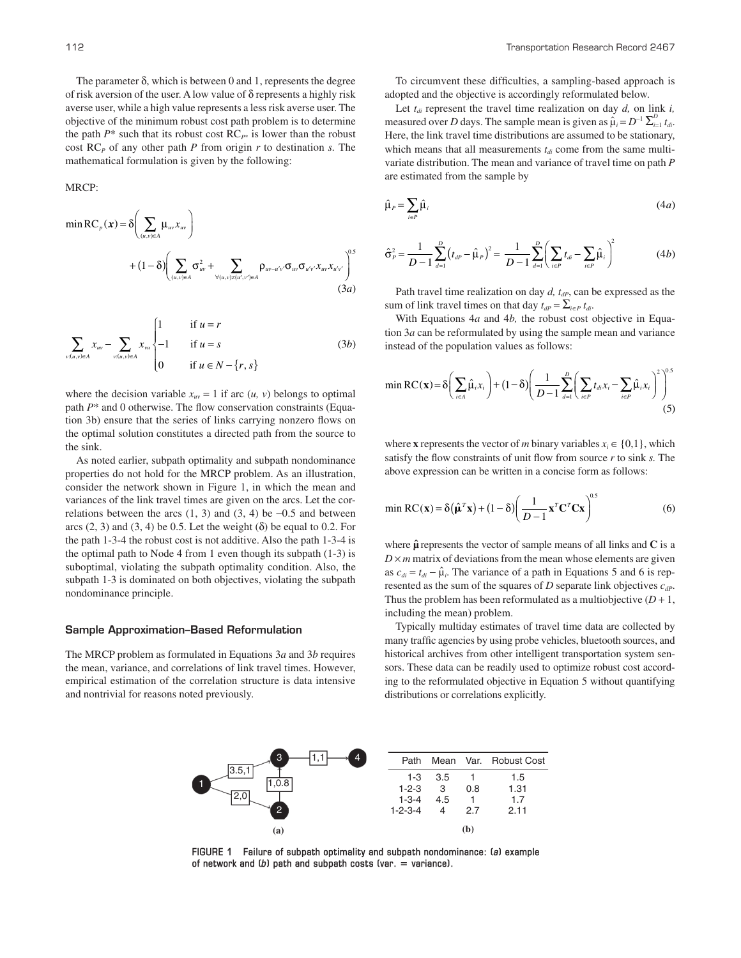The parameter  $\delta$ , which is between 0 and 1, represents the degree of risk aversion of the user. A low value of δ represents a highly risk averse user, while a high value represents a less risk averse user. The objective of the minimum robust cost path problem is to determine the path  $P^*$  such that its robust cost  $RC_{P^*}$  is lower than the robust cost RC*P* of any other path *P* from origin *r* to destination *s.* The mathematical formulation is given by the following:

MRCP:

$$
\min \text{RC}_{p}(\boldsymbol{x}) = \delta \left( \sum_{(u,v)\in A} \mu_{uv} x_{uv} \right) + (1 - \delta) \left( \sum_{(u,v)\in A} \sigma_{uv}^{2} + \sum_{\forall (u,v)\neq (u',v')\in A} \rho_{uv-u'v'} \sigma_{uv} \sigma_{u'v'} x_{uv} x_{u'v'} \right)^{0.5}
$$
\n(3*a*)

$$
\sum_{v:(u,v)\in A} x_{uv} - \sum_{v:(u,v)\in A} x_{vu} \begin{cases} 1 & \text{if } u = r \\ -1 & \text{if } u = s \\ 0 & \text{if } u \in N - \{r, s\} \end{cases}
$$
 (3b)

where the decision variable  $x_{uv} = 1$  if arc  $(u, v)$  belongs to optimal path *P*\* and 0 otherwise. The flow conservation constraints (Equation 3b) ensure that the series of links carrying nonzero flows on the optimal solution constitutes a directed path from the source to the sink.

As noted earlier, subpath optimality and subpath nondominance properties do not hold for the MRCP problem. As an illustration, consider the network shown in Figure 1, in which the mean and variances of the link travel times are given on the arcs. Let the correlations between the arcs  $(1, 3)$  and  $(3, 4)$  be  $-0.5$  and between arcs  $(2, 3)$  and  $(3, 4)$  be 0.5. Let the weight  $(\delta)$  be equal to 0.2. For the path 1-3-4 the robust cost is not additive. Also the path 1-3-4 is the optimal path to Node 4 from 1 even though its subpath (1-3) is suboptimal, violating the subpath optimality condition. Also, the subpath 1-3 is dominated on both objectives, violating the subpath nondominance principle.

#### Sample Approximation–Based Reformulation

The MRCP problem as formulated in Equations 3*a* and 3*b* requires the mean, variance, and correlations of link travel times. However, empirical estimation of the correlation structure is data intensive and nontrivial for reasons noted previously.

To circumvent these difficulties, a sampling-based approach is adopted and the objective is accordingly reformulated below.

Let  $t_{di}$  represent the travel time realization on day *d*, on link *i*, measured over *D* days. The sample mean is given as  $\hat{\mu}_i = D^{-1} \sum_{i=1}^D t_{di}$ . Here, the link travel time distributions are assumed to be stationary, which means that all measurements  $t_{di}$  come from the same multivariate distribution. The mean and variance of travel time on path *P* are estimated from the sample by

$$
\hat{\mu}_P = \sum_{i \in P} \hat{\mu}_i \tag{4a}
$$

$$
\hat{\sigma}_P^2 = \frac{1}{D-1} \sum_{d=1}^D (t_{dP} - \hat{\mu}_P)^2 = \frac{1}{D-1} \sum_{d=1}^D \left( \sum_{i \in P} t_{di} - \sum_{i \in P} \hat{\mu}_i \right)^2 \tag{4b}
$$

Path travel time realization on day *d, t<sub>dP</sub>*, can be expressed as the sum of link travel times on that day  $t_{dP} = \sum_{i \in P} t_{di}$ .

With Equations 4*a* and 4*b,* the robust cost objective in Equation 3*a* can be reformulated by using the sample mean and variance instead of the population values as follows:

$$
\min \mathrm{RC}(\mathbf{x}) = \delta \bigg( \sum_{i \in A} \hat{\mu}_i x_i \bigg) + (1 - \delta) \bigg( \frac{1}{D - 1} \sum_{d=1}^D \bigg( \sum_{i \in P} t_{di} x_i - \sum_{i \in P} \hat{\mu}_i x_i \bigg)^2 \bigg)^{0.5} \tag{5}
$$

where **x** represents the vector of *m* binary variables  $x_i \in \{0,1\}$ , which satisfy the flow constraints of unit flow from source *r* to sink *s.* The above expression can be written in a concise form as follows:

$$
\min \mathrm{RC}(\mathbf{x}) = \delta(\hat{\boldsymbol{\mu}}^T \mathbf{x}) + (1 - \delta) \left( \frac{1}{D - 1} \mathbf{x}^T \mathbf{C}^T \mathbf{C} \mathbf{x} \right)^{0.5} \tag{6}
$$

where  $\hat{\mu}$  represents the vector of sample means of all links and  $C$  is a  $D \times m$  matrix of deviations from the mean whose elements are given as  $c_{di} = t_{di} - \hat{\mu}_i$ . The variance of a path in Equations 5 and 6 is represented as the sum of the squares of *D* separate link objectives *cdP*. Thus the problem has been reformulated as a multiobjective  $(D + 1)$ , including the mean) problem.

Typically multiday estimates of travel time data are collected by many traffic agencies by using probe vehicles, bluetooth sources, and historical archives from other intelligent transportation system sensors. These data can be readily used to optimize robust cost according to the reformulated objective in Equation 5 without quantifying distributions or correlations explicitly.



**FIGURE 1 Failure of subpath optimality and subpath nondominance: (***a***) example**  of network and  $(b)$  path and subpath costs (var.  $=$  variance).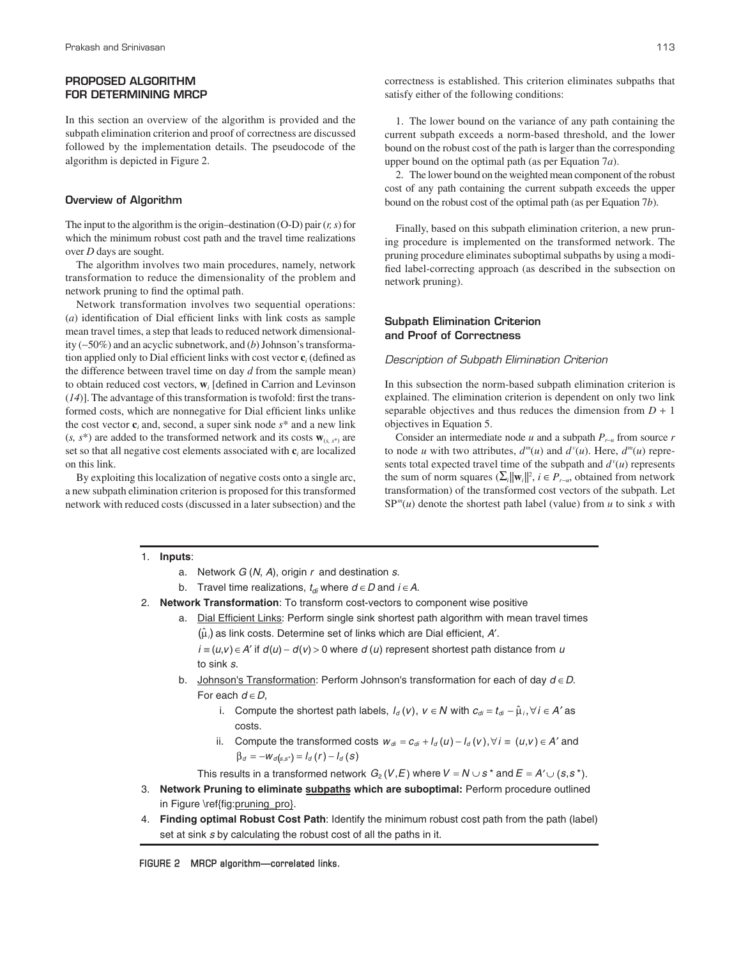# PROPOSED ALGORITHM FOR DETERMINING MRCP

In this section an overview of the algorithm is provided and the subpath elimination criterion and proof of correctness are discussed followed by the implementation details. The pseudocode of the algorithm is depicted in Figure 2.

#### Overview of Algorithm

The input to the algorithm is the origin–destination (O-D) pair (*r, s*) for which the minimum robust cost path and the travel time realizations over *D* days are sought.

The algorithm involves two main procedures, namely, network transformation to reduce the dimensionality of the problem and network pruning to find the optimal path.

Network transformation involves two sequential operations: (*a*) identification of Dial efficient links with link costs as sample mean travel times, a step that leads to reduced network dimensionality (∼50%) and an acyclic subnetwork, and (*b*) Johnson's transformation applied only to Dial efficient links with cost vector **c***<sup>i</sup>* (defined as the difference between travel time on day *d* from the sample mean) to obtain reduced cost vectors, **w***<sup>i</sup>* [defined in Carrion and Levinson (*14*)]. The advantage of this transformation is twofold: first the transformed costs, which are nonnegative for Dial efficient links unlike the cost vector  $\mathbf{c}_i$  and, second, a super sink node  $s^*$  and a new link  $(s, s^*)$  are added to the transformed network and its costs  $\mathbf{w}_{(s, s^*)}$  are set so that all negative cost elements associated with **c***<sup>i</sup>* are localized on this link.

By exploiting this localization of negative costs onto a single arc, a new subpath elimination criterion is proposed for this transformed network with reduced costs (discussed in a later subsection) and the

1. The lower bound on the variance of any path containing the current subpath exceeds a norm-based threshold, and the lower bound on the robust cost of the path is larger than the corresponding upper bound on the optimal path (as per Equation 7*a*).

2. The lower bound on the weighted mean component of the robust cost of any path containing the current subpath exceeds the upper bound on the robust cost of the optimal path (as per Equation 7*b*).

Finally, based on this subpath elimination criterion, a new pruning procedure is implemented on the transformed network. The pruning procedure eliminates suboptimal subpaths by using a modified label-correcting approach (as described in the subsection on network pruning).

#### Subpath Elimination Criterion and Proof of Correctness

#### Description of Subpath Elimination Criterion

In this subsection the norm-based subpath elimination criterion is explained. The elimination criterion is dependent on only two link separable objectives and thus reduces the dimension from  $D + 1$ objectives in Equation 5.

Consider an intermediate node *u* and a subpath *P<sup>r</sup>*−*<sup>u</sup>* from source *r* to node *u* with two attributes,  $d^m(u)$  and  $d^v(u)$ . Here,  $d^m(u)$  represents total expected travel time of the subpath and  $d^{v}(u)$  represents the sum of norm squares  $(\sum_{i} ||\mathbf{w}_i||^2, i \in P_{r-u}$ , obtained from network transformation) of the transformed cost vectors of the subpath. Let  $SP<sup>m</sup>(u)$  denote the shortest path label (value) from *u* to sink *s* with

#### 1. **Inputs**:

a. Network  $G(N, A)$ , origin  $r$  and destination  $s$ .

- b. Travel time realizations,  $t_{di}$  where  $d \in D$  and  $i \in A$ .
- 2. **Network Transformation**: To transform cost-vectors to component wise positive
	- a. Dial Efficient Links: Perform single sink shortest path algorithm with mean travel times  $(\hat{\mu})$  as link costs. Determine set of links which are Dial efficient, A'.

to sink s.  $i \equiv (u,v) \in A'$  if  $d(u) - d(v) > 0$  where d (u) represent shortest path distance from u

- b. Johnson's Transformation: Perform Johnson's transformation for each of day  $d \in D$ . For each  $d \in D$ ,
	- i. Compute the shortest path labels,  $I_d(v)$ ,  $v \in N$  with  $c_{di} = t_{di} \hat{\mu}_i, \forall i \in A'$  as costs.
	- ii. Compute the transformed costs  $w_{di} = c_{di} + l_d(u) l_d(v), \forall i \equiv (u,v) \in A'$  and  $\beta_d = -W_d(s, s^*) = I_d(r) - I_d(s)$

This results in a transformed network  $G_2(V, E)$  where  $V = N \cup s^*$  and  $E = A' \cup (s, s^*)$ .

- 3. **Network Pruning to eliminate subpaths which are suboptimal:** Perform procedure outlined in Figure \ref{fig:pruning\_pro}.
- 4. **Finding optimal Robust Cost Path**: Identify the minimum robust cost path from the path (label) set at sink s by calculating the robust cost of all the paths in it.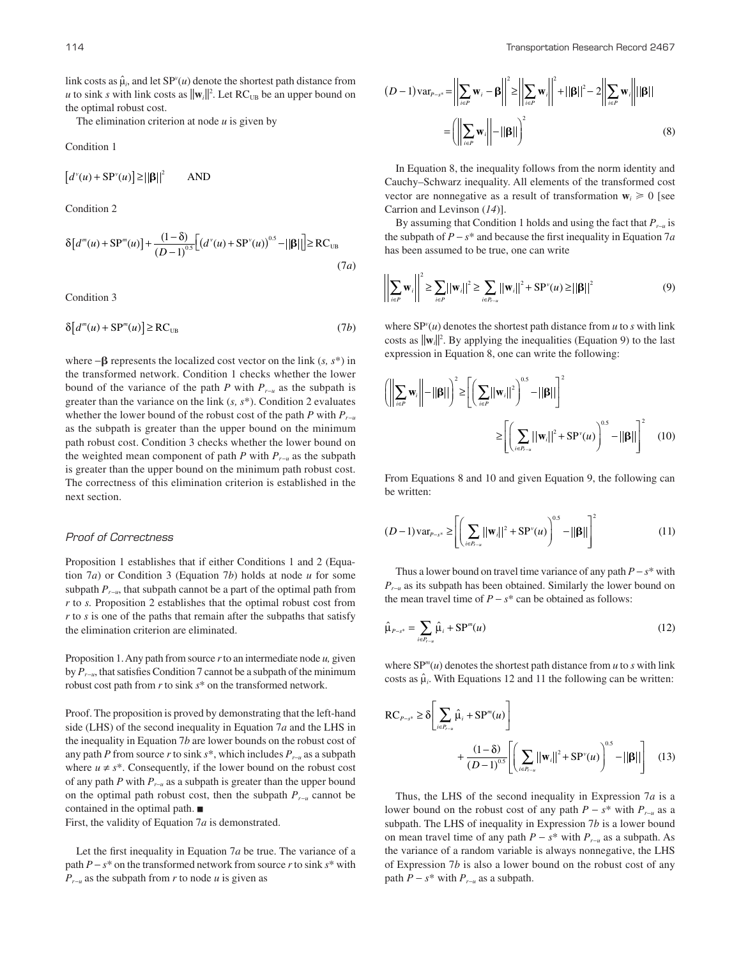The elimination criterion at node *u* is given by

Condition 1

 $[d^v(u) + SP^v(u)] \ge ||\beta||^2$  AND

Condition 2

$$
\delta[d^{m}(u) + SP^{m}(u)] + \frac{(1 - \delta)}{(D - 1)^{0.5}} [(d^{v}(u) + SP^{v}(u))^{0.5} - ||\beta||] \ge RC_{UB}
$$
\n(7*a*)

Condition 3

$$
\delta[d^{m}(u) + \text{SP}^{m}(u)] \ge \text{RC}_{\text{UB}} \tag{7b}
$$

where −b represents the localized cost vector on the link (*s, s*\*) in the transformed network. Condition 1 checks whether the lower bound of the variance of the path *P* with *P<sup>r</sup>*−*<sup>u</sup>* as the subpath is greater than the variance on the link (*s, s*\*). Condition 2 evaluates whether the lower bound of the robust cost of the path *P* with  $P_{r-u}$ as the subpath is greater than the upper bound on the minimum path robust cost. Condition 3 checks whether the lower bound on the weighted mean component of path *P* with *P<sup>r</sup>*−*<sup>u</sup>* as the subpath is greater than the upper bound on the minimum path robust cost. The correctness of this elimination criterion is established in the next section.

#### Proof of Correctness

Proposition 1 establishes that if either Conditions 1 and 2 (Equation 7*a*) or Condition 3 (Equation 7*b*) holds at node *u* for some subpath *P<sup>r</sup>*−*<sup>u</sup>* , that subpath cannot be a part of the optimal path from *r* to *s.* Proposition 2 establishes that the optimal robust cost from *r* to *s* is one of the paths that remain after the subpaths that satisfy the elimination criterion are eliminated.

Proposition 1. Any path from source *r* to an intermediate node *u,* given by *P<sup>r</sup>*−*<sup>u</sup>*, that satisfies Condition 7 cannot be a subpath of the minimum robust cost path from *r* to sink *s*\* on the transformed network.

Proof. The proposition is proved by demonstrating that the left-hand side (LHS) of the second inequality in Equation 7*a* and the LHS in the inequality in Equation 7*b* are lower bounds on the robust cost of any path *P* from source *r* to sink *s*\*, which includes *P<sup>r</sup>*−*<sup>u</sup>* as a subpath where  $u \neq s^*$ . Consequently, if the lower bound on the robust cost of any path *P* with *P<sup>r</sup>*−*<sup>u</sup>* as a subpath is greater than the upper bound on the optimal path robust cost, then the subpath *P<sup>r</sup>*−*<sup>u</sup>* cannot be contained in the optimal path.

First, the validity of Equation 7*a* is demonstrated.

Let the first inequality in Equation 7*a* be true. The variance of a path *P* − *s*\* on the transformed network from source *r* to sink *s*\* with *P*<sub>*r*−*u*</sub> as the subpath from *r* to node *u* is given as

$$
(D-1)\operatorname{var}_{P-s^*} = \left\| \sum_{i \in P} \mathbf{w}_i - \boldsymbol{\beta} \right\|^2 \ge \left\| \sum_{i \in P} \mathbf{w}_i \right\|^2 + ||\boldsymbol{\beta}||^2 - 2 \left\| \sum_{i \in P} \mathbf{w}_i \right\| ||\boldsymbol{\beta}||
$$

$$
= \left( \left\| \sum_{i \in P} \mathbf{w}_i \right\| - ||\boldsymbol{\beta}|| \right)^2 \tag{8}
$$

In Equation 8, the inequality follows from the norm identity and Cauchy–Schwarz inequality. All elements of the transformed cost vector are nonnegative as a result of transformation  $w_i \ge 0$  [see Carrion and Levinson (*14*)].

By assuming that Condition 1 holds and using the fact that *P<sup>r</sup>*−*<sup>u</sup>* is the subpath of *P* − *s*\* and because the first inequality in Equation 7*a* has been assumed to be true, one can write

$$
\left| \sum_{i \in P} \mathbf{w}_i \right| \leq \sum_{i \in P} ||\mathbf{w}_i||^2 \geq \sum_{i \in P_{i-u}} ||\mathbf{w}_i||^2 + \text{SP}^\nu(u) \geq ||\beta||^2 \tag{9}
$$

where  $SP^{v}(u)$  denotes the shortest path distance from  $u$  to  $s$  with link costs as  $\|\mathbf{w}_i\|^2$ . By applying the inequalities (Equation 9) to the last expression in Equation 8, one can write the following:

$$
\left(\left\|\sum_{i\in P} \mathbf{w}_i\right\| - \|\mathbf{\beta}\|\right)^2 \ge \left[\left(\sum_{i\in P} \|\mathbf{w}_i\|^2\right)^{0.5} - \|\mathbf{\beta}\|\right]^2
$$

$$
\ge \left[\left(\sum_{i\in P_{j-u}} \|\mathbf{w}_i\|^2 + \mathbf{SP}^{\nu}(u)\right)^{0.5} - \|\mathbf{\beta}\|\right]^2 \tag{10}
$$

From Equations 8 and 10 and given Equation 9, the following can be written:

$$
(D-1)\,\mathrm{var}_{P-s^*} \ge \left[ \left( \sum_{i \in P_{r-u}} ||\mathbf{w}_i||^2 + \mathrm{SP}^{\mathrm{v}}(u) \right)^{0.5} - ||\mathbf{\beta}|| \right]^2 \tag{11}
$$

Thus a lower bound on travel time variance of any path *P* − *s*\* with *P*<sup>*r*−*u*</sup></sub> as its subpath has been obtained. Similarly the lower bound on the mean travel time of  $P - s^*$  can be obtained as follows:

$$
\hat{\mu}_{P-s^*} = \sum_{i \in P_{r-u}} \hat{\mu}_i + \text{SP}^m(u) \tag{12}
$$

where  $SP^{m}(u)$  denotes the shortest path distance from  $u$  to  $s$  with link costs as  $\hat{\mu}_i$ . With Equations 12 and 11 the following can be written:

$$
RC_{P-s^*} \ge \delta \left[ \sum_{i \in P_{r-u}} \hat{\mu}_i + SP^m(u) \right] + \frac{(1-\delta)}{(D-1)^{0.5}} \left[ \left( \sum_{i \in P_{r-u}} ||\mathbf{w}_i||^2 + SP^v(u) \right)^{0.5} - ||\beta|| \right] \tag{13}
$$

Thus, the LHS of the second inequality in Expression 7*a* is a lower bound on the robust cost of any path *P* − *s*\* with *P<sup>r</sup>*−*<sup>u</sup>* as a subpath. The LHS of inequality in Expression 7*b* is a lower bound on mean travel time of any path *P* − *s*\* with *P<sup>r</sup>*−*<sup>u</sup>* as a subpath. As the variance of a random variable is always nonnegative, the LHS of Expression 7*b* is also a lower bound on the robust cost of any path  $P - s^*$  with  $P_{r-u}$  as a subpath.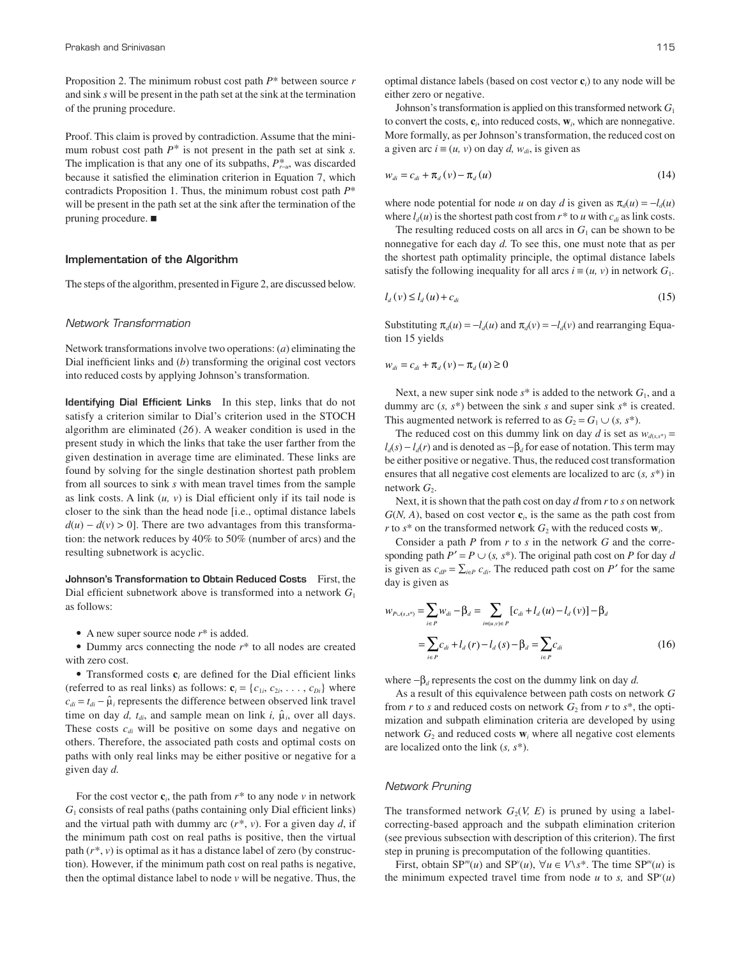Proposition 2. The minimum robust cost path *P*\* between source *r* and sink *s* will be present in the path set at the sink at the termination of the pruning procedure.

Proof. This claim is proved by contradiction. Assume that the minimum robust cost path  $P^*$  is not present in the path set at sink *s*. The implication is that any one of its subpaths,  $P^*_{r-\mu}$ , was discarded because it satisfied the elimination criterion in Equation 7, which contradicts Proposition 1. Thus, the minimum robust cost path *P*\* will be present in the path set at the sink after the termination of the pruning procedure. ■

### Implementation of the Algorithm

The steps of the algorithm, presented in Figure 2, are discussed below.

#### Network Transformation

Network transformations involve two operations: (*a*) eliminating the Dial inefficient links and (*b*) transforming the original cost vectors into reduced costs by applying Johnson's transformation.

Identifying Dial Efficient LinksIn this step, links that do not satisfy a criterion similar to Dial's criterion used in the STOCH algorithm are eliminated (*26*). A weaker condition is used in the present study in which the links that take the user farther from the given destination in average time are eliminated. These links are found by solving for the single destination shortest path problem from all sources to sink *s* with mean travel times from the sample as link costs. A link  $(u, v)$  is Dial efficient only if its tail node is closer to the sink than the head node [i.e., optimal distance labels  $d(u) - d(v) > 0$ . There are two advantages from this transformation: the network reduces by 40% to 50% (number of arcs) and the resulting subnetwork is acyclic.

Johnson's Transformation to Obtain Reduced CostsFirst, the Dial efficient subnetwork above is transformed into a network *G*<sup>1</sup> as follows:

• A new super source node *r*\* is added.

• Dummy arcs connecting the node *r*\* to all nodes are created with zero cost.

• Transformed costs  $\mathbf{c}_i$  are defined for the Dial efficient links (referred to as real links) as follows:  $\mathbf{c}_i = \{c_{1i}, c_{2i}, \dots, c_{Di}\}\$  where  $c_{di} = t_{di} - \hat{\mu}_i$  represents the difference between observed link travel time on day *d*,  $t_{di}$ , and sample mean on link *i*,  $\hat{\mu}_i$ , over all days. These costs *cdi* will be positive on some days and negative on others. Therefore, the associated path costs and optimal costs on paths with only real links may be either positive or negative for a given day *d.*

For the cost vector  $\mathbf{c}_i$ , the path from  $r^*$  to any node  $v$  in network  $G<sub>1</sub>$  consists of real paths (paths containing only Dial efficient links) and the virtual path with dummy arc (*r*\*, *v*). For a given day *d*, if the minimum path cost on real paths is positive, then the virtual path (*r*\*, *v*) is optimal as it has a distance label of zero (by construction). However, if the minimum path cost on real paths is negative, then the optimal distance label to node  $v$  will be negative. Thus, the

optimal distance labels (based on cost vector **c***i*) to any node will be either zero or negative.

Johnson's transformation is applied on this transformed network *G*<sup>1</sup> to convert the costs,  $\mathbf{c}_i$ , into reduced costs,  $\mathbf{w}_i$ , which are nonnegative. More formally, as per Johnson's transformation, the reduced cost on a given arc  $i$  ≡ (*u*, *v*) on day *d*,  $w_{di}$ , is given as

$$
w_{di} = c_{di} + \pi_d(v) - \pi_d(u) \tag{14}
$$

where node potential for node *u* on day *d* is given as  $\pi_d(u) = -l_d(u)$ where  $l_d(u)$  is the shortest path cost from  $r^*$  to  $u$  with  $c_d$  as link costs.

The resulting reduced costs on all arcs in  $G_1$  can be shown to be nonnegative for each day *d.* To see this, one must note that as per the shortest path optimality principle, the optimal distance labels satisfy the following inequality for all arcs  $i \equiv (u, v)$  in network  $G_1$ .

$$
l_d(v) \le l_d(u) + c_{di}
$$
\n<sup>(15)</sup>

Substituting  $\pi_d(u) = -l_d(u)$  and  $\pi_d(v) = -l_d(v)$  and rearranging Equation 15 yields

$$
w_{di} = c_{di} + \pi_d (v) - \pi_d (u) \ge 0
$$

Next, a new super sink node  $s^*$  is added to the network  $G_1$ , and a dummy arc (*s, s*\*) between the sink *s* and super sink *s*\* is created. This augmented network is referred to as  $G_2 = G_1 \cup (s, s^*)$ .

The reduced cost on this dummy link on day *d* is set as  $w_{d(x,s^*)} =$  $l_d(s) - l_d(r)$  and is denoted as  $-\beta_d$  for ease of notation. This term may be either positive or negative. Thus, the reduced cost transformation ensures that all negative cost elements are localized to arc (*s, s*\*) in network  $G_2$ .

Next, it is shown that the path cost on day *d* from *r* to *s* on network  $G(N, A)$ , based on cost vector  $c_i$ , is the same as the path cost from *r* to  $s^*$  on the transformed network  $G_2$  with the reduced costs  $\mathbf{w}_i$ .

Consider a path *P* from *r* to *s* in the network *G* and the corresponding path  $P' = P \cup (s, s^*)$ . The original path cost on *P* for day *d* is given as  $c_{dP} = \sum_{i \in P} c_{di}$ . The reduced path cost on *P'* for the same day is given as

$$
w_{P\cup(s,s^*)} = \sum_{i \in P} w_{di} - \beta_d = \sum_{i \in (a,v) \in P} [c_{di} + l_d(u) - l_d(v)] - \beta_d
$$
  
= 
$$
\sum_{i \in P} c_{di} + l_d(r) - l_d(s) - \beta_d = \sum_{i \in P} c_{di}
$$
 (16)

where  $-\beta_d$  represents the cost on the dummy link on day *d*.

As a result of this equivalence between path costs on network *G* from  $r$  to  $s$  and reduced costs on network  $G_2$  from  $r$  to  $s^*$ , the optimization and subpath elimination criteria are developed by using network  $G_2$  and reduced costs  $\mathbf{w}_i$  where all negative cost elements are localized onto the link (*s, s*\*).

## Network Pruning

The transformed network  $G_2(V, E)$  is pruned by using a labelcorrecting-based approach and the subpath elimination criterion (see previous subsection with description of this criterion). The first step in pruning is precomputation of the following quantities.

First, obtain  $SP^{m}(u)$  and  $SP^{v}(u)$ ,  $\forall u \in V \setminus s^*$ . The time  $SP^{m}(u)$  is the minimum expected travel time from node  $u$  to  $s$ , and  $SP<sup>v</sup>(u)$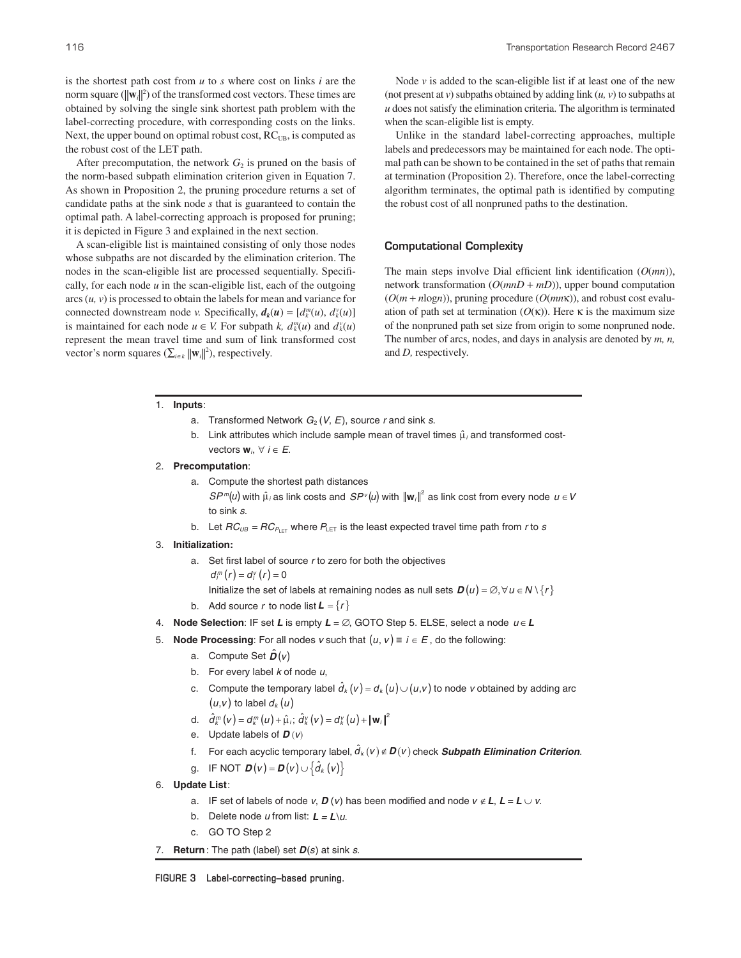is the shortest path cost from *u* to *s* where cost on links *i* are the norm square  $(||\mathbf{w}_i||^2)$  of the transformed cost vectors. These times are obtained by solving the single sink shortest path problem with the label-correcting procedure, with corresponding costs on the links. Next, the upper bound on optimal robust cost,  $RC<sub>UB</sub>$ , is computed as the robust cost of the LET path.

After precomputation, the network  $G<sub>2</sub>$  is pruned on the basis of the norm-based subpath elimination criterion given in Equation 7. As shown in Proposition 2, the pruning procedure returns a set of candidate paths at the sink node *s* that is guaranteed to contain the optimal path. A label-correcting approach is proposed for pruning; it is depicted in Figure 3 and explained in the next section.

A scan-eligible list is maintained consisting of only those nodes whose subpaths are not discarded by the elimination criterion. The nodes in the scan-eligible list are processed sequentially. Specifically, for each node  $u$  in the scan-eligible list, each of the outgoing arcs (*u, v*) is processed to obtain the labels for mean and variance for connected downstream node *v*. Specifically,  $d_k(u) = [d_k^m(u), d_k^v(u)]$ is maintained for each node  $u \in V$ . For subpath *k*,  $d_k^m(u)$  and  $d_k^v(u)$ represent the mean travel time and sum of link transformed cost vector's norm squares  $(\sum_{i \in k} ||\mathbf{w}_i||^2)$ , respectively.

Node  $\nu$  is added to the scan-eligible list if at least one of the new (not present at  $v$ ) subpaths obtained by adding link  $(u, v)$  to subpaths at *u* does not satisfy the elimination criteria. The algorithm is terminated when the scan-eligible list is empty.

Unlike in the standard label-correcting approaches, multiple labels and predecessors may be maintained for each node. The optimal path can be shown to be contained in the set of paths that remain at termination (Proposition 2). Therefore, once the label-correcting algorithm terminates, the optimal path is identified by computing the robust cost of all nonpruned paths to the destination.

# Computational Complexity

The main steps involve Dial efficient link identification (*O*(*mn*)), network transformation (*O*(*mnD* + *mD*)), upper bound computation  $(O(m + n \log n))$ , pruning procedure  $(O(m n \kappa))$ , and robust cost evaluation of path set at termination  $(O(\kappa))$ . Here  $\kappa$  is the maximum size of the nonpruned path set size from origin to some nonpruned node. The number of arcs, nodes, and days in analysis are denoted by *m, n,* and *D,* respectively.

1. **Inputs**:

- a. Transformed Network  $G_2(V, E)$ , source r and sink s.
- b. Link attributes which include sample mean of travel times  $\hat{\mu}_i$  and transformed costvectors  $w_i, \forall i \in E$ .
- 2. **Precomputation**:
	- a. Compute the shortest path distances  $SP^m(u)$  with  $\hat{\mu}_i$  as link costs and  $SP^\nu(u)$  with  $\|{\bf w}_i\|^2$  as link cost from every node  $u\in V$ to sink s.
	- b. Let  $RC_{\textit{\tiny{UB}}}$  =  $RC_{\textit{\tiny{PLET}}}$  where  $P_{\textit{\tiny{LET}}}$  is the least expected travel time path from r to  $s$
- 3. **Initialization:** 
	- a. Set first label of source  $r$  to zero for both the objectives Initialize the set of labels at remaining nodes as null sets  $\bm{D}(u) = \varnothing, \forall u \in \bm{N} \setminus \{r\}$  $d_{1}^{m}(r) = d_{1}^{v}(r) = 0$
	- b. Add source r to node list  $\mathbf{L} = \{r\}$
- 4. **Node Selection**: IF set **L** is empty **L** = ∅, GOTO Step 5. ELSE, select a node <sup>u</sup> ∈**L**
- 5. **Node Processing**: For all nodes v such that  $(u, v) \equiv i \in E$ , do the following:
	- a. Compute Set  $\hat{\boldsymbol{D}}(v)$
	- b. For every label  $k$  of node  $u$ ,
	- c. Compute the temporary label  $\hat{d}_k(v) = d_k(u) \cup (u,v)$  to node v obtained by adding arc  $(u,v)$  to label  $d_k(u)$
	- d.  $\hat{d}_{k}^{m}(v) = d_{k}^{m}(u) + \hat{\mu}_{i}; \hat{d}_{k}^{v}(v) = d_{k}^{v}(u) + ||\mathbf{w}_{i}||^{2}$
	- e. Update labels of  $\boldsymbol{D}$   $(v)$
	- f. For each acyclic temporary label,  $\hat{d}_k(v) \notin \mathbf{D}(v)$  check **Subpath Elimination Criterion**.
	- g. IF NOT  $\mathbf{D}(v) = \mathbf{D}(v) \cup \{\hat{d}_k(v)\}\$
- 6. **Update List**:
	- a. IF set of labels of node v, **D** (v) has been modified and node <sup>v</sup> ∉**L**, **L** = **L** ∪ v.
	- b. Delete node u from list: **L** <sup>=</sup>**L**\u.
	- c. GO TO Step 2
- 7. **Return**: The path (label) set  $D(s)$  at sink s.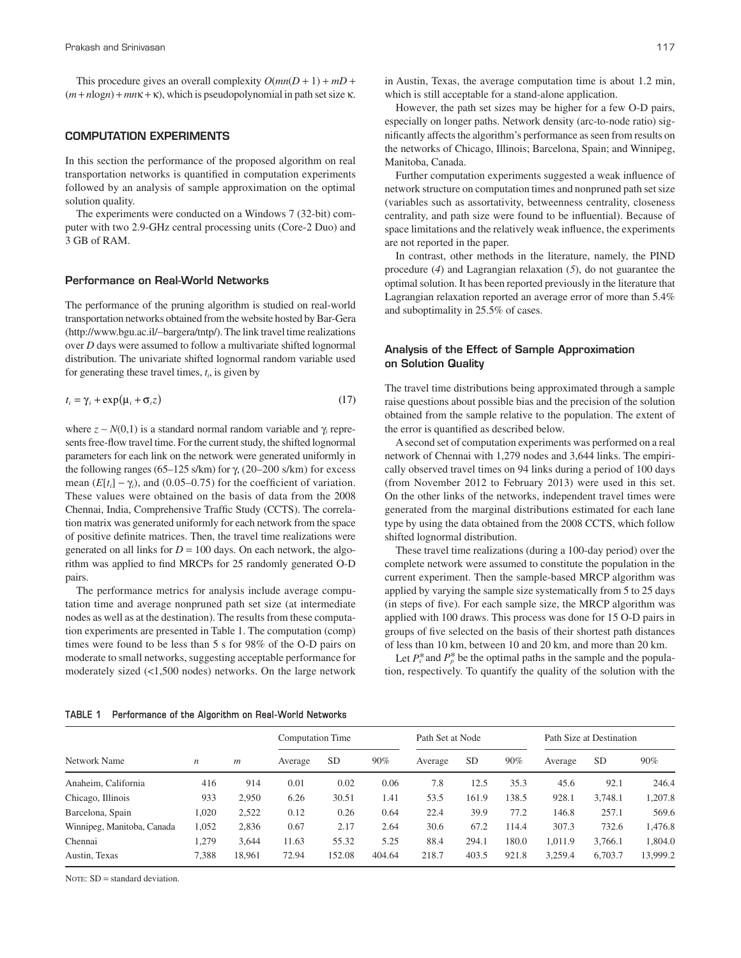This procedure gives an overall complexity  $O(mn(D + 1) + mD +$  $(m + n\log n) + mn\kappa + \kappa$ , which is pseudopolynomial in path set size  $\kappa$ .

## COMPUTATION EXPERIMENTS

In this section the performance of the proposed algorithm on real transportation networks is quantified in computation experiments followed by an analysis of sample approximation on the optimal solution quality.

The experiments were conducted on a Windows 7 (32-bit) computer with two 2.9-GHz central processing units (Core-2 Duo) and 3 GB of RAM.

#### Performance on Real-World Networks

The performance of the pruning algorithm is studied on real-world transportation networks obtained from the website hosted by Bar-Gera (http://www.bgu.ac.il/∼bargera/tntp/). The link travel time realizations over *D* days were assumed to follow a multivariate shifted lognormal distribution. The univariate shifted lognormal random variable used for generating these travel times, *t<sup>i</sup>* , is given by

$$
t_i = \gamma_i + \exp(\mu_i + \sigma_i z) \tag{17}
$$

where  $z \sim N(0,1)$  is a standard normal random variable and  $\gamma_i$  represents free-flow travel time. For the current study, the shifted lognormal parameters for each link on the network were generated uniformly in the following ranges (65–125 s/km) for  $\gamma$ , (20–200 s/km) for excess mean  $(E[t_i] - \gamma_i)$ , and (0.05–0.75) for the coefficient of variation. These values were obtained on the basis of data from the 2008 Chennai, India, Comprehensive Traffic Study (CCTS). The correlation matrix was generated uniformly for each network from the space of positive definite matrices. Then, the travel time realizations were generated on all links for  $D = 100$  days. On each network, the algorithm was applied to find MRCPs for 25 randomly generated O-D pairs.

The performance metrics for analysis include average computation time and average nonpruned path set size (at intermediate nodes as well as at the destination). The results from these computation experiments are presented in Table 1. The computation (comp) times were found to be less than 5 s for 98% of the O-D pairs on moderate to small networks, suggesting acceptable performance for moderately sized (<1,500 nodes) networks. On the large network

However, the path set sizes may be higher for a few O-D pairs, especially on longer paths. Network density (arc-to-node ratio) significantly affects the algorithm's performance as seen from results on the networks of Chicago, Illinois; Barcelona, Spain; and Winnipeg, Manitoba, Canada.

Further computation experiments suggested a weak influence of network structure on computation times and nonpruned path set size (variables such as assortativity, betweenness centrality, closeness centrality, and path size were found to be influential). Because of space limitations and the relatively weak influence, the experiments are not reported in the paper.

In contrast, other methods in the literature, namely, the PIND procedure (*4*) and Lagrangian relaxation (*5*), do not guarantee the optimal solution. It has been reported previously in the literature that Lagrangian relaxation reported an average error of more than 5.4% and suboptimality in 25.5% of cases.

## Analysis of the Effect of Sample Approximation on Solution Quality

The travel time distributions being approximated through a sample raise questions about possible bias and the precision of the solution obtained from the sample relative to the population. The extent of the error is quantified as described below.

A second set of computation experiments was performed on a real network of Chennai with 1,279 nodes and 3,644 links. The empirically observed travel times on 94 links during a period of 100 days (from November 2012 to February 2013) were used in this set. On the other links of the networks, independent travel times were generated from the marginal distributions estimated for each lane type by using the data obtained from the 2008 CCTS, which follow shifted lognormal distribution.

These travel time realizations (during a 100-day period) over the complete network were assumed to constitute the population in the current experiment. Then the sample-based MRCP algorithm was applied by varying the sample size systematically from 5 to 25 days (in steps of five). For each sample size, the MRCP algorithm was applied with 100 draws. This process was done for 15 O-D pairs in groups of five selected on the basis of their shortest path distances of less than 10 km, between 10 and 20 km, and more than 20 km.

Let  $P_s^*$  and  $P_p^*$  be the optimal paths in the sample and the population, respectively. To quantify the quality of the solution with the

#### **TABLE 1 Performance of the Algorithm on Real-World Networks**

|                            | n     | $\boldsymbol{m}$ | <b>Computation Time</b> |           |        | Path Set at Node |           |       | Path Size at Destination |           |          |
|----------------------------|-------|------------------|-------------------------|-----------|--------|------------------|-----------|-------|--------------------------|-----------|----------|
| Network Name               |       |                  | Average                 | <b>SD</b> | 90%    | Average          | <b>SD</b> | 90%   | Average                  | <b>SD</b> | 90%      |
| Anaheim, California        | 416   | 914              | 0.01                    | 0.02      | 0.06   | 7.8              | 12.5      | 35.3  | 45.6                     | 92.1      | 246.4    |
| Chicago, Illinois          | 933   | 2.950            | 6.26                    | 30.51     | 1.41   | 53.5             | 161.9     | 138.5 | 928.1                    | 3,748.1   | .207.8   |
| Barcelona, Spain           | 1,020 | 2,522            | 0.12                    | 0.26      | 0.64   | 22.4             | 39.9      | 77.2  | 146.8                    | 257.1     | 569.6    |
| Winnipeg, Manitoba, Canada | 1,052 | 2.836            | 0.67                    | 2.17      | 2.64   | 30.6             | 67.2      | 114.4 | 307.3                    | 732.6     | .476.8   |
| Chennai                    | 1.279 | 3.644            | 11.63                   | 55.32     | 5.25   | 88.4             | 294.1     | 180.0 | 1.011.9                  | 3,766.1   | 1,804.0  |
| Austin, Texas              | 7,388 | 18.961           | 72.94                   | 152.08    | 404.64 | 218.7            | 403.5     | 921.8 | 3,259.4                  | 6,703.7   | 13,999.2 |

NOTE: SD = standard deviation.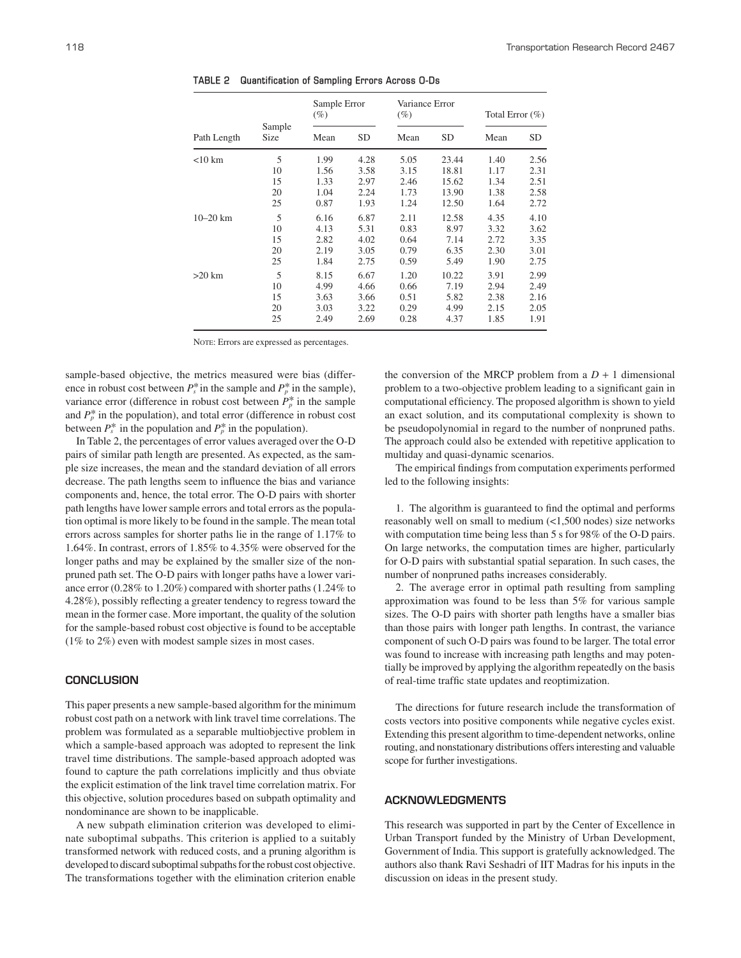| Path Length  |                | Sample Error<br>$(\%)$ |           | Variance Error<br>$(\%)$ |           | Total Error $(\%)$ |           |  |
|--------------|----------------|------------------------|-----------|--------------------------|-----------|--------------------|-----------|--|
|              | Sample<br>Size | Mean                   | <b>SD</b> | Mean                     | <b>SD</b> | Mean               | <b>SD</b> |  |
| $<$ 10 km    | 5              | 1.99                   | 4.28      | 5.05                     | 23.44     | 1.40               | 2.56      |  |
|              | 10             | 1.56                   | 3.58      | 3.15                     | 18.81     | 1.17               | 2.31      |  |
|              | 15             | 1.33                   | 2.97      | 2.46                     | 15.62     | 1.34               | 2.51      |  |
|              | 20             | 1.04                   | 2.24      | 1.73                     | 13.90     | 1.38               | 2.58      |  |
|              | 25             | 0.87                   | 1.93      | 1.24                     | 12.50     | 1.64               | 2.72      |  |
| $10 - 20$ km | 5              | 6.16                   | 6.87      | 2.11                     | 12.58     | 4.35               | 4.10      |  |
|              | 10             | 4.13                   | 5.31      | 0.83                     | 8.97      | 3.32               | 3.62      |  |
|              | 15             | 2.82                   | 4.02      | 0.64                     | 7.14      | 2.72               | 3.35      |  |
|              | 20             | 2.19                   | 3.05      | 0.79                     | 6.35      | 2.30               | 3.01      |  |
|              | 25             | 1.84                   | 2.75      | 0.59                     | 5.49      | 1.90               | 2.75      |  |
| $>20$ km     | 5              | 8.15                   | 6.67      | 1.20                     | 10.22     | 3.91               | 2.99      |  |
|              | 10             | 4.99                   | 4.66      | 0.66                     | 7.19      | 2.94               | 2.49      |  |
|              | 15             | 3.63                   | 3.66      | 0.51                     | 5.82      | 2.38               | 2.16      |  |
|              | 20             | 3.03                   | 3.22      | 0.29                     | 4.99      | 2.15               | 2.05      |  |
|              | 25             | 2.49                   | 2.69      | 0.28                     | 4.37      | 1.85               | 1.91      |  |

**TABLE 2 Quantification of Sampling Errors Across O-Ds**

NOTE: Errors are expressed as percentages.

sample-based objective, the metrics measured were bias (difference in robust cost between  $P_s^*$  in the sample and  $P_p^*$  in the sample), variance error (difference in robust cost between  $P_p^*$  in the sample and  $P_p^*$  in the population), and total error (difference in robust cost between  $P_s^*$  in the population and  $P_p^*$  in the population).

In Table 2, the percentages of error values averaged over the O-D pairs of similar path length are presented. As expected, as the sample size increases, the mean and the standard deviation of all errors decrease. The path lengths seem to influence the bias and variance components and, hence, the total error. The O-D pairs with shorter path lengths have lower sample errors and total errors as the population optimal is more likely to be found in the sample. The mean total errors across samples for shorter paths lie in the range of 1.17% to 1.64%. In contrast, errors of 1.85% to 4.35% were observed for the longer paths and may be explained by the smaller size of the nonpruned path set. The O-D pairs with longer paths have a lower variance error (0.28% to 1.20%) compared with shorter paths (1.24% to 4.28%), possibly reflecting a greater tendency to regress toward the mean in the former case. More important, the quality of the solution for the sample-based robust cost objective is found to be acceptable (1% to 2%) even with modest sample sizes in most cases.

#### **CONCLUSION**

This paper presents a new sample-based algorithm for the minimum robust cost path on a network with link travel time correlations. The problem was formulated as a separable multiobjective problem in which a sample-based approach was adopted to represent the link travel time distributions. The sample-based approach adopted was found to capture the path correlations implicitly and thus obviate the explicit estimation of the link travel time correlation matrix. For this objective, solution procedures based on subpath optimality and nondominance are shown to be inapplicable.

A new subpath elimination criterion was developed to eliminate suboptimal subpaths. This criterion is applied to a suitably transformed network with reduced costs, and a pruning algorithm is developed to discard suboptimal subpaths for the robust cost objective. The transformations together with the elimination criterion enable the conversion of the MRCP problem from a  $D + 1$  dimensional problem to a two-objective problem leading to a significant gain in computational efficiency. The proposed algorithm is shown to yield an exact solution, and its computational complexity is shown to be pseudopolynomial in regard to the number of nonpruned paths. The approach could also be extended with repetitive application to multiday and quasi-dynamic scenarios.

The empirical findings from computation experiments performed led to the following insights:

1. The algorithm is guaranteed to find the optimal and performs reasonably well on small to medium (<1,500 nodes) size networks with computation time being less than 5 s for 98% of the O-D pairs. On large networks, the computation times are higher, particularly for O-D pairs with substantial spatial separation. In such cases, the number of nonpruned paths increases considerably.

2. The average error in optimal path resulting from sampling approximation was found to be less than 5% for various sample sizes. The O-D pairs with shorter path lengths have a smaller bias than those pairs with longer path lengths. In contrast, the variance component of such O-D pairs was found to be larger. The total error was found to increase with increasing path lengths and may potentially be improved by applying the algorithm repeatedly on the basis of real-time traffic state updates and reoptimization.

The directions for future research include the transformation of costs vectors into positive components while negative cycles exist. Extending this present algorithm to time-dependent networks, online routing, and nonstationary distributions offers interesting and valuable scope for further investigations.

## ACKNOWLEDGMENTS

This research was supported in part by the Center of Excellence in Urban Transport funded by the Ministry of Urban Development, Government of India. This support is gratefully acknowledged. The authors also thank Ravi Seshadri of IIT Madras for his inputs in the discussion on ideas in the present study.